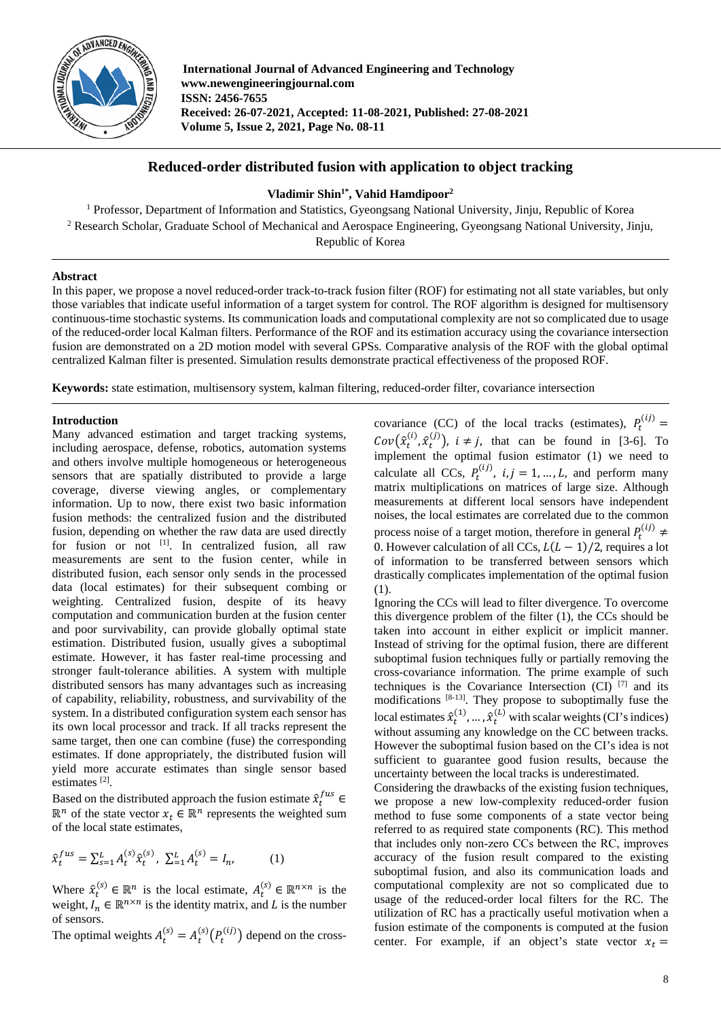

**International Journal of Advanced Engineering and Technology www.newengineeringjournal.com ISSN: 2456-7655 Received: 26-07-2021, Accepted: 11-08-2021, Published: 27-08-2021 Volume 5, Issue 2, 2021, Page No. 08-11**

# **Reduced-order distributed fusion with application to object tracking**

# **Vladimir Shin1\* , Vahid Hamdipoor2**

<sup>1</sup> Professor, Department of Information and Statistics, Gyeongsang National University, Jinju, Republic of Korea <sup>2</sup> Research Scholar, Graduate School of Mechanical and Aerospace Engineering, Gyeongsang National University, Jinju, Republic of Korea

## **Abstract**

In this paper, we propose a novel reduced-order track-to-track fusion filter (ROF) for estimating not all state variables, but only those variables that indicate useful information of a target system for control. The ROF algorithm is designed for multisensory continuous-time stochastic systems. Its communication loads and computational complexity are not so complicated due to usage of the reduced-order local Kalman filters. Performance of the ROF and its estimation accuracy using the covariance intersection fusion are demonstrated on a 2D motion model with several GPSs. Comparative analysis of the ROF with the global optimal centralized Kalman filter is presented. Simulation results demonstrate practical effectiveness of the proposed ROF.

**Keywords:** state estimation, multisensory system, kalman filtering, reduced-order filter, covariance intersection

## **Introduction**

Many advanced estimation and target tracking systems, including aerospace, defense, robotics, automation systems and others involve multiple homogeneous or heterogeneous sensors that are spatially distributed to provide a large coverage, diverse viewing angles, or complementary information. Up to now, there exist two basic information fusion methods: the centralized fusion and the distributed fusion*,* depending on whether the raw data are used directly for fusion or not  $^{[1]}$ . In centralized fusion, all raw measurements are sent to the fusion center, while in distributed fusion, each sensor only sends in the processed data (local estimates) for their subsequent combing or weighting. Centralized fusion, despite of its heavy computation and communication burden at the fusion center and poor survivability, can provide globally optimal state estimation. Distributed fusion, usually gives a suboptimal estimate. However, it has faster real-time processing and stronger fault-tolerance abilities. A system with multiple distributed sensors has many advantages such as increasing of capability, reliability, robustness, and survivability of the system. In a distributed configuration system each sensor has its own local processor and track. If all tracks represent the same target, then one can combine (fuse) the corresponding estimates. If done appropriately, the distributed fusion will yield more accurate estimates than single sensor based estimates [2].

Based on the distributed approach the fusion estimate  $\hat{x}_t^{fus}$   $\in$  $\mathbb{R}^n$  of the state vector  $x_t \in \mathbb{R}^n$  represents the weighted sum of the local state estimates,

$$
\hat{\chi}_t^{fus} = \sum_{s=1}^L A_t^{(s)} \hat{\chi}_t^{(s)}, \ \sum_{t=1}^L A_t^{(s)} = I_n,\tag{1}
$$

Where  $\hat{x}_t^{(s)} \in \mathbb{R}^n$  is the local estimate,  $A_t^{(s)} \in \mathbb{R}^{n \times n}$  is the weight,  $I_n \in \mathbb{R}^{n \times n}$  is the identity matrix, and L is the number of sensors.

The optimal weights  $A_t^{(s)} = A_t^{(s)}(P_t^{(t)})$  depend on the cross-

covariance (CC) of the local tracks (estimates),  $P_t^{(l)}$  =  $Cov(\hat{x}_t^{(i)}, \hat{x}_t^{(j)})$ ,  $i \neq j$ , that can be found in [3-6]. To implement the optimal fusion estimator  $(1)$  we need to calculate all CCs,  $P_t^{(1)}$ ,  $i, j = 1, ..., L$ , and perform many matrix multiplications on matrices of large size. Although measurements at different local sensors have independent noises, the local estimates are correlated due to the common process noise of a target motion, therefore in general  $P_t^{(l)}$   $\neq$ 0. However calculation of all CCs,  $L(L-1)/2$ , requires a lot of information to be transferred between sensors which drastically complicates implementation of the optimal fusion (1).

Ignoring the CCs will lead to filter divergence. To overcome this divergence problem of the filter (1), the CCs should be taken into account in either explicit or implicit manner. Instead of striving for the optimal fusion, there are different suboptimal fusion techniques fully or partially removing the cross-covariance information. The prime example of such techniques is the Covariance Intersection  $(CI)$  [7] and its modifications [8-13]. They propose to suboptimally fuse the local estimates  $\hat{x}_t^{(1)}, \dots, \hat{x}_t^{(L)}$  with scalar weights (CI's indices) without assuming any knowledge on the CC between tracks. However the suboptimal fusion based on the CI's idea is not sufficient to guarantee good fusion results, because the uncertainty between the local tracks is underestimated.

Considering the drawbacks of the existing fusion techniques, we propose a new low-complexity reduced-order fusion method to fuse some components of a state vector being referred to as required state components (RC). This method that includes only non-zero ССs between the RC, improves accuracy of the fusion result compared to the existing suboptimal fusion, and also its communication loads and computational complexity are not so complicated due to usage of the reduced-order local filters for the RC. The utilization of RC has a practically useful motivation when a fusion estimate of the components is computed at the fusion center. For example, if an object's state vector  $x_t =$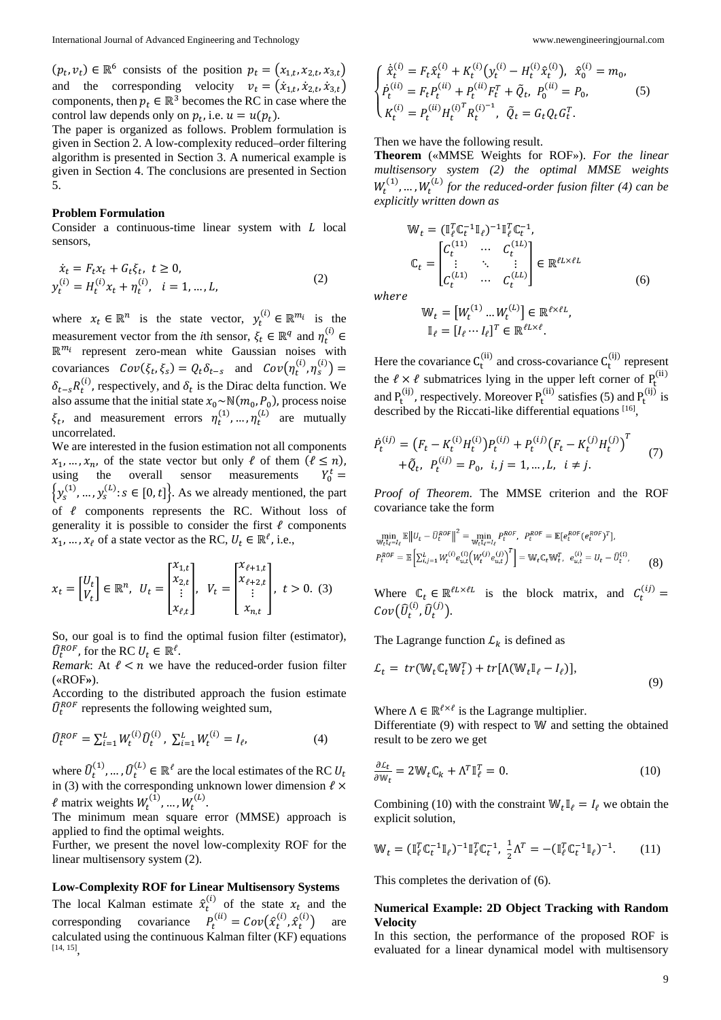$(p_t, v_t) \in \mathbb{R}^6$  consists of the position  $p_t = (x_{1,t}, x_{2,t}, x_{3,t})$ and the corresponding velocity  $v_t = (\dot{x}_{1,t}, \dot{x}_{2,t}, \dot{x}_{3,t})$ components, then  $p_t \in \mathbb{R}^3$  becomes the RC in case where the control law depends only on  $p_t$ , i.e.  $u = u(p_t)$ .

The paper is organized as follows. Problem formulation is given in Section 2. A low-complexity reduced–order filtering algorithm is presented in Section 3. A numerical example is given in Section 4. The conclusions are presented in Section 5.

### **Problem Formulation**

Consider a continuous-time linear system with  $L$  local sensors,

$$
\dot{x}_t = F_t x_t + G_t \xi_t, \ t \ge 0,\n y_t^{(i)} = H_t^{(i)} x_t + \eta_t^{(i)}, \ i = 1, ..., L,
$$
\n(2)

where  $x_t \in \mathbb{R}^n$  is the state vector,  $y_t^{(l)} \in \mathbb{R}^{m_l}$  is the measurement vector from the *i*th sensor,  $\xi_t \in \mathbb{R}^q$  and  $\eta_t^{(1)} \in \mathbb{R}^q$  $\mathbb{R}^{m_i}$  represent zero-mean white Gaussian noises with covariances  $Cov(\xi_t, \xi_s) = Q_t \delta_{t-s}$  and  $Cov(\eta_t^{(l)}, \eta_s^{(l)}) =$  $\delta_{t-s} R_t^{(1)}$ , respectively, and  $\delta_t$  is the Dirac delta function. We also assume that the initial state  $x_0 \sim \mathbb{N}(m_0, P_0)$ , process noise  $\xi_t$ , and measurement errors  $\eta_t^{(1)}, \dots, \eta_t^{(L)}$  are mutually uncorrelated.

We are interested in the fusion estimation not all components  $x_1, ..., x_n$ , of the state vector but only  $\ell$  of them  $(\ell \leq n)$ , using the overall sensor measurements  $Y_0^t =$  $\{y_s^{(1)},..., y_s^{(L)}: s \in [0, t]\}$ . As we already mentioned, the part of  $\ell$  components represents the RC. Without loss of generality it is possible to consider the first  $\ell$  components  $x_1, ..., x_\ell$  of a state vector as the RC,  $U_t \in \mathbb{R}^\ell$ , i.e.,

$$
x_t = \begin{bmatrix} U_t \\ V_t \end{bmatrix} \in \mathbb{R}^n, \ U_t = \begin{bmatrix} x_{1,t} \\ x_{2,t} \\ \vdots \\ x_{\ell,t} \end{bmatrix}, \ V_t = \begin{bmatrix} x_{\ell+1,t} \\ x_{\ell+2,t} \\ \vdots \\ x_{n,t} \end{bmatrix}, \ t > 0. \ (3)
$$

So, our goal is to find the optimal fusion filter (estimator),  $\hat{U}_t^{ROF}$ , for the RC  $U_t \in \mathbb{R}^l$ .

*Remark*: At  $\ell < n$  we have the reduced-order fusion filter («ROF**»**).

According to the distributed approach the fusion estimate  $\hat{U}_t^{ROF}$  represents the following weighted sum,

$$
\widehat{U}_{t}^{ROF} = \sum_{i=1}^{L} W_{t}^{(i)} \widehat{U}_{t}^{(i)}, \ \sum_{i=1}^{L} W_{t}^{(i)} = I_{\ell}, \tag{4}
$$

where  $\hat{U}_t^{(1)}, \dots, \hat{U}_t^{(L)} \in \mathbb{R}^{\ell}$  are the local estimates of the RC  $U_t$ in (3) with the corresponding unknown lower dimension  $\ell \times$  $\ell$  matrix weights  $W_t^{(1)}$ , ...,  $W_t^{(L)}$ .

The minimum mean square error (MMSE) approach is applied to find the optimal weights.

Further, we present the novel low-complexity ROF for the linear multisensory system (2).

### **Low-Complexity ROF for Linear Multisensory Systems**

The local Kalman estimate  $\hat{x}_t^{(1)}$  of the state  $x_t$  and the corresponding covariance  $P_t^{(u)} = Cov(\hat{x}_t^{(v)}, \hat{x}_t^{(v)})$  are calculated using the continuous Kalman filter (KF) equations [14, 15],

$$
\begin{cases}\n\dot{\hat{\chi}}_t^{(i)} = F_t \hat{\chi}_t^{(i)} + K_t^{(i)} (y_t^{(i)} - H_t^{(i)} \hat{\chi}_t^{(i)}), \ \hat{\chi}_0^{(i)} = m_0, \\
\dot{P}_t^{(ii)} = F_t P_t^{(ii)} + P_t^{(ii)} F_t^T + \tilde{Q}_t, \ P_0^{(ii)} = P_0, \\
K_t^{(i)} = P_t^{(ii)} H_t^{(i)^T} R_t^{(i)^{-1}}, \ \tilde{Q}_t = G_t Q_t G_t^T.\n\end{cases} \tag{5}
$$

Then we have the following result.

**Theorem** («MMSE Weights for ROF»). *For the linear multisensory system (2) the optimal MMSE weights*   $W_t^{(1)}$ , ...,  $W_t^{(L)}$  for the reduced-order fusion filter (4) can be *explicitly written down as*

$$
\mathbb{W}_{t} = (\mathbb{I}_{\ell}^{T} \mathbb{C}_{t}^{-1} \mathbb{I}_{\ell})^{-1} \mathbb{I}_{\ell}^{T} \mathbb{C}_{t}^{-1},
$$
\n
$$
\mathbb{C}_{t} = \begin{bmatrix} C_{t}^{(11)} & \cdots & C_{t}^{(1L)} \\ \vdots & \ddots & \vdots \\ C_{t}^{(L1)} & \cdots & C_{t}^{(LL)} \end{bmatrix} \in \mathbb{R}^{\ell L \times \ell L}
$$
\n(6)

where

$$
\mathbb{W}_t = [W_t^{(1)} \dots W_t^{(L)}] \in \mathbb{R}^{\ell \times \ell L},
$$

$$
\mathbb{I}_\ell = [I_\ell \cdots I_\ell]^T \in \mathbb{R}^{\ell L \times \ell}.
$$

Here the covariance  $C_t^{(1)}$  and cross-covariance  $C_t^{(1)}$  represent the  $\ell \times \ell$  submatrices lying in the upper left corner of  $P_t^{(1)}$ and  $P_t^{(1)}$ , respectively. Moreover  $P_t^{(1)}$  satisfies (5) and  $P_t^{(1)}$  is described by the Riccati-like differential equations  $[16]$ ,

$$
\dot{P}_t^{(ij)} = (F_t - K_t^{(i)} H_t^{(i)}) P_t^{(ij)} + P_t^{(ij)} (F_t - K_t^{(j)} H_t^{(j)})^T \n+ \tilde{Q}_t, \quad P_t^{(ij)} = P_0, \quad i, j = 1, \dots, L, \quad i \neq j.
$$
\n(7)

*Proof of Theorem*. The MMSE criterion and the ROF covariance take the form

$$
\min_{\mathbb{W}_{t}^{1} \in I_{\ell}} \mathbb{E} \left\| U_{t} - \widehat{U}_{t}^{R0F} \right\|^{2} = \min_{\mathbb{W}_{t}^{1} \in I_{\ell}} P_{t}^{R0F}, \quad P_{t}^{R0F} = \mathbb{E} \left[ e_{t}^{R0F} (e_{t}^{R0F})^{T} \right],
$$
\n
$$
P_{t}^{R0F} = \mathbb{E} \left[ \sum_{i,j=1}^{L} W_{t}^{(i)} e_{u,t}^{(i)} \left( W_{t}^{(j)} e_{u,t}^{(j)} \right)^{T} \right] = \mathbb{W}_{t} \mathbb{C}_{t} \mathbb{W}_{t}^{T}, \quad e_{u,t}^{(i)} = U_{t} - \widehat{U}_{t}^{(i)}, \tag{8}
$$

Where  $\mathbb{C}_t \in \mathbb{R}^{\ell L \times \ell L}$  is the block matrix, and  $C_t^{(1)}$  =  $Cov(\widehat{U}_t^{(t)}, \widehat{U}_t^{(j)})$ .

The Lagrange function  $\mathcal{L}_k$  is defined as

$$
\mathcal{L}_t = tr(\mathbb{W}_t \mathbb{C}_t \mathbb{W}_t^T) + tr[\Lambda(\mathbb{W}_t \mathbb{I}_\ell - I_\ell)],
$$
\n(9)

Where  $\Lambda \in \mathbb{R}^{\ell \times \ell}$  is the Lagrange multiplier.

Differentiate  $(9)$  with respect to W and setting the obtained result to be zero we get

$$
\frac{\partial \mathcal{L}_t}{\partial \mathbb{W}_t} = 2\mathbb{W}_t \mathbb{C}_k + \Lambda^T \mathbb{I}_\ell^T = 0.
$$
 (10)

Combining (10) with the constraint  $W_t \mathbb{I}_{\ell} = I_{\ell}$  we obtain the explicit solution,

$$
\mathbb{W}_t = (\mathbb{I}_\ell^T \mathbb{C}_t^{-1} \mathbb{I}_\ell)^{-1} \mathbb{I}_\ell^T \mathbb{C}_t^{-1}, \ \frac{1}{2} \Lambda^T = -(\mathbb{I}_\ell^T \mathbb{C}_t^{-1} \mathbb{I}_\ell)^{-1}.
$$
 (11)

This completes the derivation of (6).

## **Numerical Example: 2D Object Tracking with Random Velocity**

In this section, the performance of the proposed ROF is evaluated for a linear dynamical model with multisensory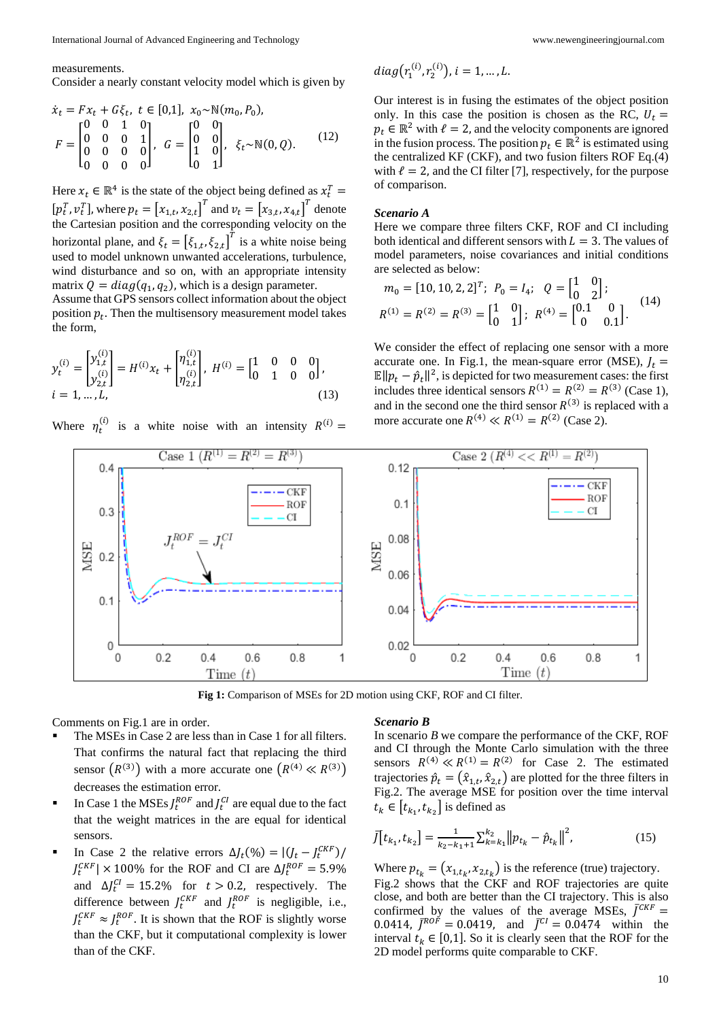#### measurements.

Consider a nearly constant velocity model which is given by

$$
\dot{x}_t = Fx_t + G\xi_t, \ t \in [0,1], \ x_0 \sim \mathbb{N}(m_0, P_0), \nF = \begin{bmatrix} 0 & 0 & 1 & 0 \\ 0 & 0 & 0 & 1 \\ 0 & 0 & 0 & 0 \\ 0 & 0 & 0 & 0 \end{bmatrix}, \ G = \begin{bmatrix} 0 & 0 \\ 0 & 0 \\ 1 & 0 \\ 0 & 1 \end{bmatrix}, \ \xi_t \sim \mathbb{N}(0, Q). \tag{12}
$$

Here  $x_t \in \mathbb{R}^4$  is the state of the object being defined as  $x_t^T =$  $[p_t^T, v_t^T]$ , where  $p_t = [x_{1,t}, x_{2,t}]^T$  and  $v_t = [x_{3,t}, x_{4,t}]^T$  denote the Cartesian position and the corresponding velocity on the horizontal plane, and  $\xi_t = [\xi_{1,t}, \xi_{2,t}]^T$  is a white noise being used to model unknown unwanted accelerations, turbulence, wind disturbance and so on, with an appropriate intensity matrix  $Q = diag(q_1, q_2)$ , which is a design parameter.

Assume that GPS sensors collect information about the object position  $p_t$ . Then the multisensory measurement model takes the form,

$$
y_t^{(i)} = \begin{bmatrix} y_{1,t}^{(i)} \\ y_{2,t}^{(i)} \end{bmatrix} = H^{(i)} x_t + \begin{bmatrix} \eta_{1,t}^{(i)} \\ \eta_{2,t}^{(i)} \end{bmatrix}, H^{(i)} = \begin{bmatrix} 1 & 0 & 0 & 0 \\ 0 & 1 & 0 & 0 \end{bmatrix},
$$
  
\n $i = 1, ..., L,$  (13)

Where  $\eta_t^{(i)}$  is a white noise with an intensity  $R^{(i)} =$ 

$$
diag(r_1^{(i)}, r_2^{(i)}), i = 1, \dots, L.
$$

Our interest is in fusing the estimates of the object position only. In this case the position is chosen as the RC,  $U_t$  =  $p_t \in \mathbb{R}^2$  with  $\ell = 2$ , and the velocity components are ignored in the fusion process. The position  $p_t \in \mathbb{R}^2$  is estimated using the centralized KF (CKF), and two fusion filters ROF Eq.(4) with  $\ell = 2$ , and the CI filter [7], respectively, for the purpose of comparison.

### *Scenario A*

Here we compare three filters CKF, ROF and CI including both identical and different sensors with  $L = 3$ . The values of model parameters, noise covariances and initial conditions are selected as below:

$$
m_0 = [10, 10, 2, 2]^T; \ P_0 = I_4; \ Q = \begin{bmatrix} 1 & 0 \\ 0 & 2 \end{bmatrix};
$$
  

$$
R^{(1)} = R^{(2)} = R^{(3)} = \begin{bmatrix} 1 & 0 \\ 0 & 1 \end{bmatrix}; \ R^{(4)} = \begin{bmatrix} 0.1 & 0 \\ 0 & 0.1 \end{bmatrix}.
$$
 (14)

We consider the effect of replacing one sensor with a more accurate one. In Fig.1, the mean-square error (MSE),  $J_t$  =  $\mathbb{E} ||p_t - \hat{p}_t||^2$ , is depicted for two measurement cases: the first includes three identical sensors  $R^{(1)} = R^{(2)} = R^{(3)}$  (Case 1), and in the second one the third sensor  $R^{(3)}$  is replaced with a more accurate one  $R^{(4)} \ll R^{(1)} = R^{(2)}$  (Case 2).



**Fig 1:** Comparison of MSEs for 2D motion using CKF, ROF and CI filter.

### Comments on Fig.1 are in order.

- The MSEs in Case 2 are less than in Case 1 for all filters. That confirms the natural fact that replacing the third sensor  $(R^{(3)})$  with a more accurate one  $(R^{(4)} \ll R^{(3)})$ decreases the estimation error.
- In Case 1 the MSEs  $J_t^{ROF}$  and  $J_t^{CI}$  are equal due to the fact that the weight matrices in the are equal for identical sensors.
- In Case 2 the relative errors  $\Delta J_t(\%) = |(J_t J_t^{CKF})|$  $J_t^{CKF}$  | × 100% for the ROF and CI are  $\Delta f_t^{ROF} = 5.9\%$ and  $\Delta J_t^{CI} = 15.2\%$  for  $t > 0.2$ , respectively. The difference between  $J_t^{CKF}$  and  $J_t^{ROF}$  is negligible, i.e.,  $J_t^{CKF} \approx J_t^{ROF}$ . It is shown that the ROF is slightly worse than the CKF, but it computational complexity is lower than of the CKF.

### *Scenario B*

In scenario *B* we compare the performance of the CKF, ROF and CI through the Monte Carlo simulation with the three sensors  $R^{(4)} \ll R^{(1)} = R^{(2)}$  for Case 2. The estimated trajectories  $\hat{p}_t = (\hat{x}_{1,t}, \hat{x}_{2,t})$  are plotted for the three filters in Fig.2. The average MSE for position over the time interval  $t_k \in [t_{k_1}, t_{k_2}]$  is defined as

$$
\bar{J}[t_{k_1}, t_{k_2}] = \frac{1}{k_2 - k_1 + 1} \sum_{k=k_1}^{k_2} ||p_{t_k} - \hat{p}_{t_k}||^2, \qquad (15)
$$

Where  $p_{t_k} = (x_{1,t_k}, x_{2,t_k})$  is the reference (true) trajectory. Fig.2 shows that the CKF and ROF trajectories are quite close, and both are better than the CI trajectory. This is also confirmed by the values of the average MSEs,  $\bar{J}^{CKF}$  = 0.0414,  $\bar{J}^{ROF} = 0.0419$ , and  $\bar{J}^{CI} = 0.0474$  within the interval  $t_k \in [0,1]$ . So it is clearly seen that the ROF for the 2D model performs quite comparable to CKF.